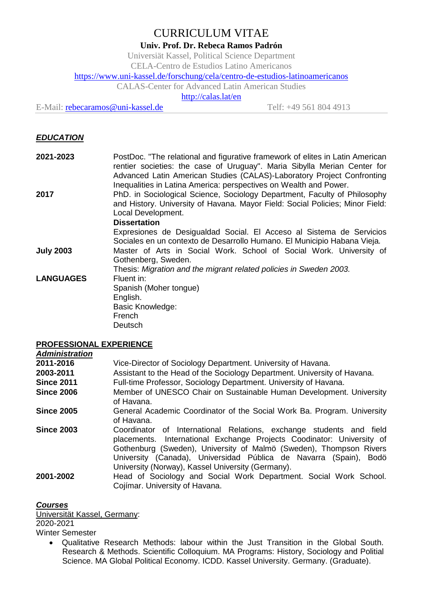# CURRICULUM VITAE

### **Univ. Prof. Dr. Rebeca Ramos Padrón**

Universiät Kassel, Political Science Department

CELA-Centro de Estudios Latino Americanos

<https://www.uni-kassel.de/forschung/cela/centro-de-estudios-latinoamericanos>

CALAS-Center for Advanced Latin American Studies

<http://calas.lat/en>

E-Mail: [rebecaramos@uni-kassel.de](mailto:rebecaramos@uni-kassel.de) Telf: +49 561 804 4913

## *EDUCATION*

| 2021-2023        | PostDoc. "The relational and figurative framework of elites in Latin American |
|------------------|-------------------------------------------------------------------------------|
|                  | rentier societies: the case of Uruguay". Maria Sibylla Merian Center for      |
|                  | Advanced Latin American Studies (CALAS)-Laboratory Project Confronting        |
|                  | Inequalities in Latina America: perspectives on Wealth and Power.             |
| 2017             | PhD. in Sociological Science, Sociology Department, Faculty of Philosophy     |
|                  | and History. University of Havana. Mayor Field: Social Policies; Minor Field: |
|                  | Local Development.                                                            |
|                  | <b>Dissertation</b>                                                           |
|                  | Expresiones de Desigualdad Social. El Acceso al Sistema de Servicios          |
|                  | Sociales en un contexto de Desarrollo Humano. El Municipio Habana Vieja.      |
| <b>July 2003</b> | Master of Arts in Social Work. School of Social Work. University of           |
|                  | Gothenberg, Sweden.                                                           |
|                  | Thesis: Migration and the migrant related policies in Sweden 2003.            |
| <b>LANGUAGES</b> | Fluent in:                                                                    |
|                  | Spanish (Moher tongue)                                                        |
|                  | English.                                                                      |
|                  | <b>Basic Knowledge:</b>                                                       |
|                  | French                                                                        |
|                  | Deutsch                                                                       |
|                  |                                                                               |

#### **PROFESSIONAL EXPERIENCE**

## *Administration* **2011-2016** Vice-Director of Sociology Department. University of Havana. **2003-2011** Assistant to the Head of the Sociology Department. University of Havana. **Since 2011** Full-time Professor, Sociology Department. University of Havana.<br> **Since 2006** Member of UNESCO Chair on Sustainable Human Development **Since 2006** Member of UNESCO Chair on Sustainable Human Development. University of Havana. **Since 2005** General Academic Coordinator of the Social Work Ba. Program. University of Havana. **Since 2003** Coordinator of International Relations, exchange students and field placements. International Exchange Projects Coodinator: University of Gothenburg (Sweden), University of Malmö (Sweden), Thompson Rivers University (Canada), Universidad Pública de Navarra (Spain), Bodö University (Norway), Kassel University (Germany). **2001-2002** Head of Sociology and Social Work Department. Social Work School. Cojímar. University of Havana.

#### *Courses*

Universität Kassel, Germany:

2020-2021

Winter Semester

 Qualitative Research Methods: labour within the Just Transition in the Global South. Research & Methods. Scientific Colloquium. MA Programs: History, Sociology and Politial Science. MA Global Political Economy. ICDD. Kassel University. Germany. (Graduate).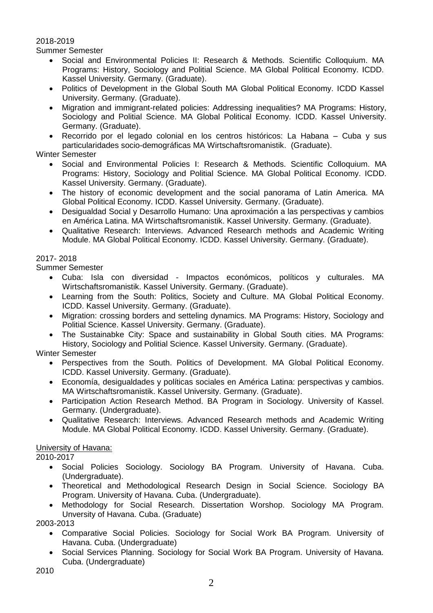# 2018-2019

#### Summer Semester

- Social and Environmental Policies II: Research & Methods. Scientific Colloquium. MA Programs: History, Sociology and Politial Science. MA Global Political Economy. ICDD. Kassel University. Germany. (Graduate).
- Politics of Development in the Global South MA Global Political Economy. ICDD Kassel University. Germany. (Graduate).
- Migration and immigrant-related policies: Addressing inequalities? MA Programs: History, Sociology and Politial Science. MA Global Political Economy. ICDD. Kassel University. Germany. (Graduate).
- Recorrido por el legado colonial en los centros históricos: La Habana Cuba y sus particularidades socio-demográficas MA Wirtschaftsromanistik. (Graduate).

## Winter Semester

- Social and Environmental Policies I: Research & Methods. Scientific Colloquium. MA Programs: History, Sociology and Politial Science. MA Global Political Economy. ICDD. Kassel University. Germany. (Graduate).
- The history of economic development and the social panorama of Latin America. MA Global Political Economy. ICDD. Kassel University. Germany. (Graduate).
- Desigualdad Social y Desarrollo Humano: Una aproximación a las perspectivas y cambios en América Latina. MA Wirtschaftsromanistik. Kassel University. Germany. (Graduate).
- Qualitative Research: Interviews. Advanced Research methods and Academic Writing Module. MA Global Political Economy. ICDD. Kassel University. Germany. (Graduate).

# 2017- 2018

Summer Semester

- Cuba: Isla con diversidad Impactos económicos, políticos y culturales. MA Wirtschaftsromanistik. Kassel University. Germany. (Graduate).
- Learning from the South: Politics, Society and Culture. MA Global Political Economy. ICDD. Kassel University. Germany. (Graduate).
- Migration: crossing borders and setteling dynamics. MA Programs: History, Sociology and Politial Science. Kassel University. Germany. (Graduate).
- The Sustainabke City: Space and sustainability in Global South cities. MA Programs: History, Sociology and Politial Science. Kassel University. Germany. (Graduate).

# Winter Semester

- Perspectives from the South. Politics of Development. MA Global Political Economy. ICDD. Kassel University. Germany. (Graduate).
- Economía, desigualdades y políticas sociales en América Latina: perspectivas y cambios. MA Wirtschaftsromanistik. Kassel University. Germany. (Graduate).
- Participation Action Research Method. BA Program in Sociology. University of Kassel. Germany. (Undergraduate).
- Qualitative Research: Interviews. Advanced Research methods and Academic Writing Module. MA Global Political Economy. ICDD. Kassel University. Germany. (Graduate).

# University of Havana:

2010-2017

- Social Policies Sociology. Sociology BA Program. University of Havana. Cuba. (Undergraduate).
- Theoretical and Methodological Research Design in Social Science. Sociology BA Program. University of Havana. Cuba. (Undergraduate).
- Methodology for Social Research. Dissertation Worshop. Sociology MA Program. Unversity of Havana. Cuba. (Graduate)

2003-2013

- Comparative Social Policies. Sociology for Social Work BA Program. University of Havana. Cuba. (Undergraduate)
- Social Services Planning. Sociology for Social Work BA Program. University of Havana. Cuba. (Undergraduate)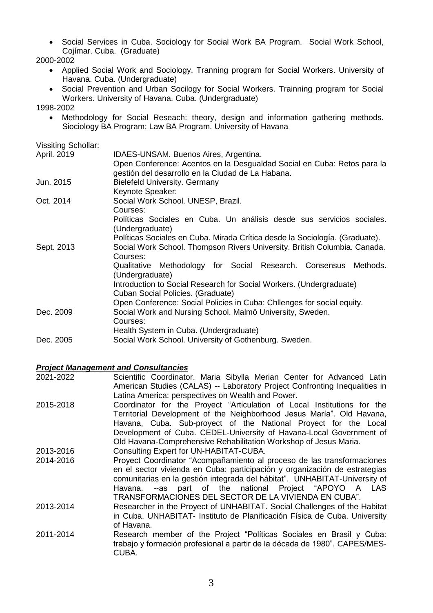• Social Services in Cuba. Sociology for Social Work BA Program. Social Work School, Cojímar. Cuba. (Graduate)

2000-2002

- Applied Social Work and Sociology. Tranning program for Social Workers. University of Havana. Cuba. (Undergraduate)
- Social Prevention and Urban Socilogy for Social Workers. Trainning program for Social Workers. University of Havana. Cuba. (Undergraduate)

1998-2002

 Methodology for Social Reseach: theory, design and information gathering methods. Siociology BA Program; Law BA Program. University of Havana

| <b>Vissiting Schollar:</b> |                                                                             |
|----------------------------|-----------------------------------------------------------------------------|
| April. 2019                | <b>IDAES-UNSAM. Buenos Aires, Argentina.</b>                                |
|                            | Open Conference: Acentos en la Desgualdad Social en Cuba: Retos para la     |
|                            | gestión del desarrollo en la Ciudad de La Habana.                           |
| Jun. 2015                  | <b>Bielefeld University. Germany</b>                                        |
|                            | Keynote Speaker:                                                            |
| Oct. 2014                  | Social Work School. UNESP, Brazil.                                          |
|                            | Courses:                                                                    |
|                            | Políticas Sociales en Cuba. Un análisis desde sus servicios sociales.       |
|                            | (Undergraduate)                                                             |
|                            | Políticas Sociales en Cuba. Mirada Crítica desde la Sociología. (Graduate). |
| Sept. 2013                 | Social Work School. Thompson Rivers University. British Columbia. Canada.   |
|                            | Courses:                                                                    |
|                            | Qualitative Methodology for Social Research. Consensus<br>Methods.          |
|                            | (Undergraduate)                                                             |
|                            | Introduction to Social Research for Social Workers. (Undergraduate)         |
|                            | Cuban Social Policies. (Graduate)                                           |
|                            | Open Conference: Social Policies in Cuba: Chllenges for social equity.      |
| Dec. 2009                  | Social Work and Nursing School. Malmö University, Sweden.                   |
|                            | Courses:                                                                    |
|                            | Health System in Cuba. (Undergraduate)                                      |
| Dec. 2005                  | Social Work School. University of Gothenburg. Sweden.                       |

*Project Management and Consultancies*

| 2021-2022 | Scientific Coordinator. Maria Sibylla Merian Center for Advanced Latin                                                                           |
|-----------|--------------------------------------------------------------------------------------------------------------------------------------------------|
|           | American Studies (CALAS) -- Laboratory Project Confronting Inequalities in                                                                       |
|           | Latina America: perspectives on Wealth and Power.                                                                                                |
| 2015-2018 | Coordinator for the Proyect "Articulation of Local Institutions for the<br>Territorial Development of the Neighborhood Jesus María". Old Havana, |
|           |                                                                                                                                                  |
|           | Havana, Cuba. Sub-proyect of the National Proyect for the Local                                                                                  |
|           | Development of Cuba. CEDEL-University of Havana-Local Government of                                                                              |
|           | Old Havana-Comprehensive Rehabilitation Workshop of Jesus Maria.                                                                                 |
| 2013-2016 | Consulting Expert for UN-HABITAT-CUBA.                                                                                                           |
| 2014-2016 | Proyect Coordinator "Acompañamiento al proceso de las transformaciones                                                                           |
|           | en el sector vivienda en Cuba: participación y organización de estrategias                                                                       |
|           | comunitarias en la gestión integrada del hábitat". UNHABITAT-University of                                                                       |
|           | Havana. --as part of the national Project "APOYO A LAS                                                                                           |
|           | TRANSFORMACIONES DEL SECTOR DE LA VIVIENDA EN CUBA".                                                                                             |
|           |                                                                                                                                                  |
| 2013-2014 | Researcher in the Proyect of UNHABITAT. Social Challenges of the Habitat                                                                         |
|           | in Cuba. UNHABITAT- Instituto de Planificación Física de Cuba. University                                                                        |
|           | of Havana.                                                                                                                                       |
| 2011-2014 | Research member of the Project "Políticas Sociales en Brasil y Cuba:                                                                             |
|           | trabajo y formación profesional a partir de la década de 1980". CAPES/MES-                                                                       |
|           | CUBA.                                                                                                                                            |
|           |                                                                                                                                                  |